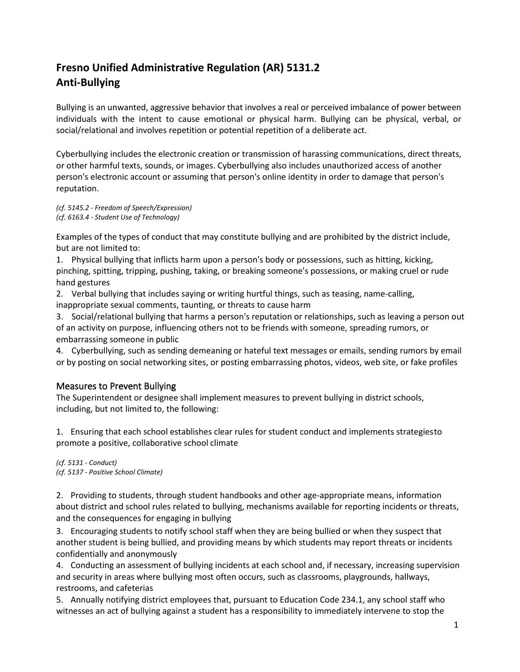# **Fresno Unified Administrative Regulation (AR) 5131.2 Anti-Bullying**

Bullying is an unwanted, aggressive behavior that involves a real or perceived imbalance of power between individuals with the intent to cause emotional or physical harm. Bullying can be physical, verbal, or social/relational and involves repetition or potential repetition of a deliberate act.

Cyberbullying includes the electronic creation or transmission of harassing communications, direct threats, or other harmful texts, sounds, or images. Cyberbullying also includes unauthorized access of another person's electronic account or assuming that person's online identity in order to damage that person's reputation.

*(cf. 5145.2 - Freedom of Speech/Expression) (cf. 6163.4 - Student Use of Technology)*

Examples of the types of conduct that may constitute bullying and are prohibited by the district include, but are not limited to:

1. Physical bullying that inflicts harm upon a person's body or possessions, such as hitting, kicking, pinching, spitting, tripping, pushing, taking, or breaking someone's possessions, or making cruel or rude hand gestures

2. Verbal bullying that includes saying or writing hurtful things, such as teasing, name-calling, inappropriate sexual comments, taunting, or threats to cause harm

3. Social/relational bullying that harms a person's reputation or relationships, such as leaving a person out of an activity on purpose, influencing others not to be friends with someone, spreading rumors, or embarrassing someone in public

4. Cyberbullying, such as sending demeaning or hateful text messages or emails, sending rumors by email or by posting on social networking sites, or posting embarrassing photos, videos, web site, or fake profiles

# Measures to Prevent Bullying

The Superintendent or designee shall implement measures to prevent bullying in district schools, including, but not limited to, the following:

1. Ensuring that each school establishes clear rules for student conduct and implements strategiesto promote a positive, collaborative school climate

*(cf. 5131 - Conduct) (cf. 5137 - Positive School Climate)*

2. Providing to students, through student handbooks and other age-appropriate means, information about district and school rules related to bullying, mechanisms available for reporting incidents or threats, and the consequences for engaging in bullying

3. Encouraging students to notify school staff when they are being bullied or when they suspect that another student is being bullied, and providing means by which students may report threats or incidents confidentially and anonymously

4. Conducting an assessment of bullying incidents at each school and, if necessary, increasing supervision and security in areas where bullying most often occurs, such as classrooms, playgrounds, hallways, restrooms, and cafeterias

5. Annually notifying district employees that, pursuant to Education Code 234.1, any school staff who witnesses an act of bullying against a student has a responsibility to immediately intervene to stop the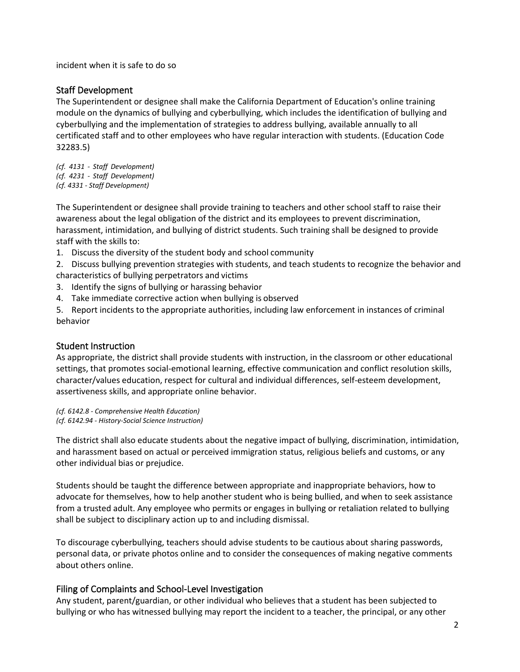incident when it is safe to do so

## Staff Development

The Superintendent or designee shall make the California Department of Education's online training module on the dynamics of bullying and cyberbullying, which includes the identification of bullying and cyberbullying and the implementation of strategies to address bullying, available annually to all certificated staff and to other employees who have regular interaction with students. (Education Code 32283.5)

*(cf. 4131 - Staff Development) (cf. 4231 - Staff Development) (cf. 4331 - Staff Development)*

The Superintendent or designee shall provide training to teachers and other school staff to raise their awareness about the legal obligation of the district and its employees to prevent discrimination, harassment, intimidation, and bullying of district students. Such training shall be designed to provide staff with the skills to:

1. Discuss the diversity of the student body and school community

2. Discuss bullying prevention strategies with students, and teach students to recognize the behavior and characteristics of bullying perpetrators and victims

- 3. Identify the signs of bullying or harassing behavior
- 4. Take immediate corrective action when bullying is observed

5. Report incidents to the appropriate authorities, including law enforcement in instances of criminal behavior

## Student Instruction

As appropriate, the district shall provide students with instruction, in the classroom or other educational settings, that promotes social-emotional learning, effective communication and conflict resolution skills, character/values education, respect for cultural and individual differences, self-esteem development, assertiveness skills, and appropriate online behavior.

*(cf. 6142.8 - Comprehensive Health Education) (cf. 6142.94 - History-Social Science Instruction)*

The district shall also educate students about the negative impact of bullying, discrimination, intimidation, and harassment based on actual or perceived immigration status, religious beliefs and customs, or any other individual bias or prejudice.

Students should be taught the difference between appropriate and inappropriate behaviors, how to advocate for themselves, how to help another student who is being bullied, and when to seek assistance from a trusted adult. Any employee who permits or engages in bullying or retaliation related to bullying shall be subject to disciplinary action up to and including dismissal.

To discourage cyberbullying, teachers should advise students to be cautious about sharing passwords, personal data, or private photos online and to consider the consequences of making negative comments about others online.

## Filing of Complaints and School-Level Investigation

Any student, parent/guardian, or other individual who believes that a student has been subjected to bullying or who has witnessed bullying may report the incident to a teacher, the principal, or any other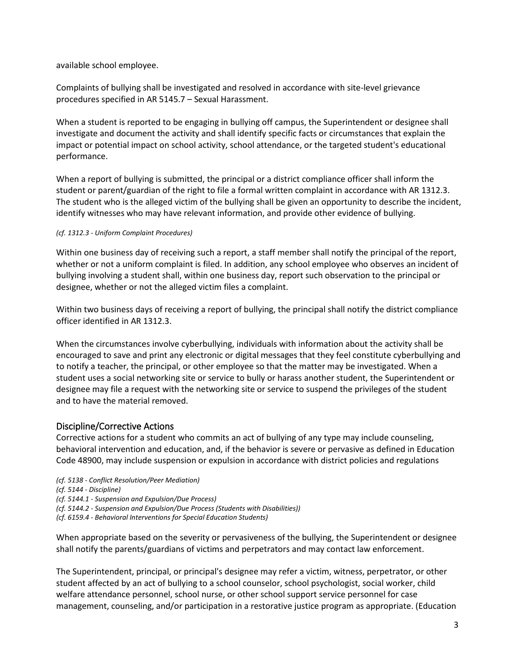available school employee.

Complaints of bullying shall be investigated and resolved in accordance with site-level grievance procedures specified in AR 5145.7 – Sexual Harassment.

When a student is reported to be engaging in bullying off campus, the Superintendent or designee shall investigate and document the activity and shall identify specific facts or circumstances that explain the impact or potential impact on school activity, school attendance, or the targeted student's educational performance.

When a report of bullying is submitted, the principal or a district compliance officer shall inform the student or parent/guardian of the right to file a formal written complaint in accordance with AR 1312.3. The student who is the alleged victim of the bullying shall be given an opportunity to describe the incident, identify witnesses who may have relevant information, and provide other evidence of bullying.

## *([cf. 1312.3 -](https://nam02.safelinks.protection.outlook.com/?url=http%3A%2F%2Fgamutonline.net%2FdisplayPolicy%2F1074993%2F5&data=02%7C01%7CPete.Summers%40fresnounified.org%7Ccdcd305e4821402f10c008d73795f521%7C74c9008303c6453a801c9251cdd17eb8%7C0%7C0%7C637038989506654432&sdata=R%2FWvuIfpqP0e6IjJeO4HOTuHRWeQEfbEA3QcwPezBvw%3D&reserved=0) Uniform Complaint Procedures)*

Within one business day of receiving such a report, a staff member shall notify the principal of the report, whether or not a uniform complaint is filed. In addition, any school employee who observes an incident of bullying involving a student shall, within one business day, report such observation to the principal or designee, whether or not the alleged victim files a complaint.

Within two business days of receiving a report of bullying, the principal shall notify the district compliance officer identified in AR 1312.3.

When the circumstances involve cyberbullying, individuals with information about the activity shall be encouraged to save and print any electronic or digital messages that they feel constitute cyberbullying and to notify a teacher, the principal, or other employee so that the matter may be investigated. When a student uses a social networking site or service to bully or harass another student, the Superintendent or designee may file a request with the networking site or service to suspend the privileges of the student and to have the material removed.

# Discipline/Corrective Actions

Corrective actions for a student who commits an act of bullying of any type may include counseling, behavioral intervention and education, and, if the behavior is severe or pervasive as defined in Education Code 48900, may include suspension or expulsion in accordance with district policies and regulations

- *(cf. 5138 - Conflict Resolution/Peer Mediation)*
- *(cf. 5144 - Discipline)*
- *(cf. 5144.1 - Suspension and Expulsion/Due Process)*
- *(cf. 5144.2 - Suspension and Expulsion/Due Process (Students with Disabilities))*
- *(cf. 6159.4 - Behavioral Interventions for Special Education Students)*

When appropriate based on the severity or pervasiveness of the bullying, the Superintendent or designee shall notify the parents/guardians of victims and perpetrators and may contact law enforcement.

The Superintendent, principal, or principal's designee may refer a victim, witness, perpetrator, or other student affected by an act of bullying to a school counselor, school psychologist, social worker, child welfare attendance personnel, school nurse, or other school support service personnel for case management, counseling, and/or participation in a restorative justice program as appropriate. (Education